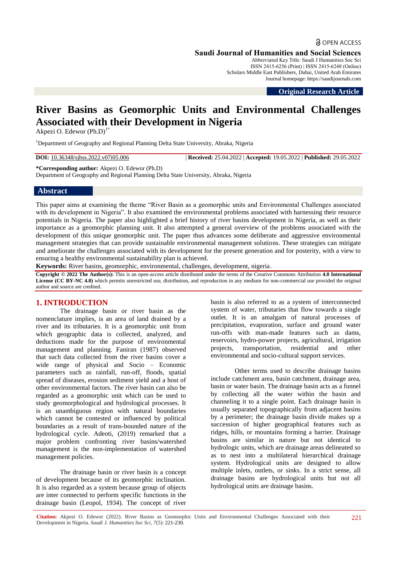**Saudi Journal of Humanities and Social Sciences**

Abbreviated Key Title: Saudi J Humanities Soc Sci ISSN 2415-6256 (Print) | ISSN 2415-6248 (Online) Scholars Middle East Publishers, Dubai, United Arab Emirates Journal homepage: https://saudijournals.com

**Original Research Article**

# **River Basins as Geomorphic Units and Environmental Challenges Associated with their Development in Nigeria**

Akpezi O. Edewor  $(Ph.D)^{1*}$ 

<sup>1</sup>Department of Geography and Regional Planning Delta State University, Abraka, Nigeria

**DOI:** 10.36348/sjhss.2022.v07i05.006 | **Received:** 25.04.2022 | **Accepted:** 19.05.2022 | **Published:** 29.05.2022

**\*Corresponding author:** Akpezi O. Edewor (Ph.D)

Department of Geography and Regional Planning Delta State University, Abraka, Nigeria

#### **Abstract**

This paper aims at examining the theme "River Basin as a geomorphic units and Environmental Challenges associated with its development in Nigeria". It also examined the environmental problems associated with harnessing their resource potentials in Nigeria. The paper also highlighted a brief history of river basins development in Nigeria, as well as their importance as a geomorphic planning unit. It also attempted a general overview of the problems associated with the development of this unique geomorphic unit. The paper thus advances some deliberate and aggressive environmental management strategies that can provide sustainable environmental management solutions. These strategies can mitigate and ameliorate the challenges associated with its development for the present generation and for posterity, with a view to ensuring a healthy environmental sustainability plan is achieved.

**Keywords:** River basins, geomorphic, environmental, challenges, development, nigeria.

**Copyright © 2022 The Author(s):** This is an open-access article distributed under the terms of the Creative Commons Attribution **4.0 International License (CC BY-NC 4.0)** which permits unrestricted use, distribution, and reproduction in any medium for non-commercial use provided the original author and source are credited.

# **1. INTRODUCTION**

The drainage basin or river basin as the nomenclature implies, is an area of land drained by a river and its tributaries. It is a geomorphic unit from which geographic data is collected, analyzed, and deductions made for the purpose of environmental management and planning. Faniran (1987) observed that such data collected from the river basins cover a wide range of physical and Socio – Economic parameters such as rainfall, run-off, floods, spatial spread of diseases, erosion sediment yield and a host of other environmental factors. The river basin can also be regarded as a geomorphic unit which can be used to study geomorphological and hydrological processes. It is an unambiguous region with natural boundaries which cannot be contested or influenced by political boundaries as a result of trans-bounded nature of the hydrological cycle. Adeoti, (2019) remarked that a major problem confronting river basins/watershed management is the non-implementation of watershed management policies.

The drainage basin or river basin is a concept of development because of its geomorphic inclination. It is also regarded as a system because group of objects are inter connected to perform specific functions in the drainage basin (Leopol, 1934). The concept of river

basin is also referred to as a system of interconnected system of water, tributaries that flow towards a single outlet. It is an amalgam of natural processes of precipitation, evaporation, surface and ground water run-offs with man-made features such as dams, reservoirs, hydro-power projects, agricultural, irrigation projects, transportation, residential and other environmental and socio-cultural support services.

Other terms used to describe drainage basins include catchment area, basin catchment, drainage area, basin or water basin. The drainage basin acts as a funnel by collecting all the water within the basin and channeling it to a single point. Each drainage basin is usually separated topographically from adjacent basins by a perimeter; the drainage basin divide makes up a succession of higher geographical features such as ridges, hills, or mountains forming a barrier. Drainage basins are similar in nature but not identical to hydrologic units, which are drainage areas delineated so as to nest into a multilateral hierarchical drainage system. Hydrological units are designed to allow multiple inlets, outlets, or sinks. In a strict sense, all drainage basins are hydrological units but not all hydrological units are drainage basins.

**Citation:** Akpezi O. Edewor (2022). River Basins as Geomorphic Units and Environmental Challenges Associated with their Development in Nigeria. *Saudi J. Humanities Soc Sci, 7*(5): 221-230.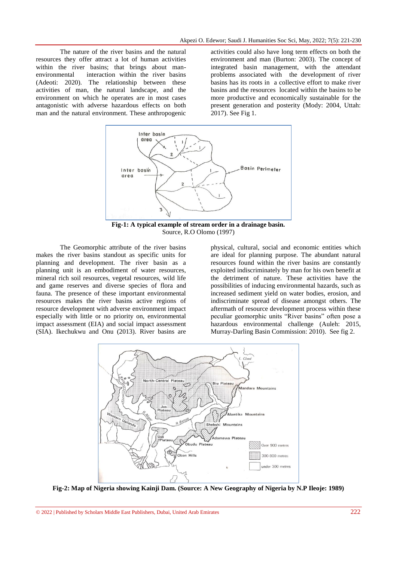The nature of the river basins and the natural resources they offer attract a lot of human activities within the river basins; that brings about manenvironmental interaction within the river basins (Adeoti: 2020). The relationship between these activities of man, the natural landscape, and the environment on which he operates are in most cases antagonistic with adverse hazardous effects on both man and the natural environment. These anthropogenic

activities could also have long term effects on both the environment and man (Burton: 2003). The concept of integrated basin management, with the attendant problems associated with the development of river basins has its roots in a collective effort to make river basins and the resources located within the basins to be more productive and economically sustainable for the present generation and posterity (Mody: 2004, Uttah: 2017). See Fig 1.



**Fig-1: A typical example of stream order in a drainage basin.** Source, R.O Olomo (1997)

The Geomorphic attribute of the river basins makes the river basins standout as specific units for planning and development. The river basin as a planning unit is an embodiment of water resources, mineral rich soil resources, vegetal resources, wild life and game reserves and diverse species of flora and fauna. The presence of these important environmental resources makes the river basins active regions of resource development with adverse environment impact especially with little or no priority on, environmental impact assessment (EIA) and social impact assessment (SIA). Ikechukwu and Onu (2013). River basins are

physical, cultural, social and economic entities which are ideal for planning purpose. The abundant natural resources found within the river basins are constantly exploited indiscriminately by man for his own benefit at the detriment of nature. These activities have the possibilities of inducing environmental hazards, such as increased sediment yield on water bodies, erosion, and indiscriminate spread of disease amongst others. The aftermath of resource development process within these peculiar geomorphic units "River basins" often pose a hazardous environmental challenge (Auleh: 2015, Murray-Darling Basin Commission: 2010). See fig 2.



**Fig-2: Map of Nigeria showing Kainji Dam. (Source: A New Geography of Nigeria by N.P Ileoje: 1989)**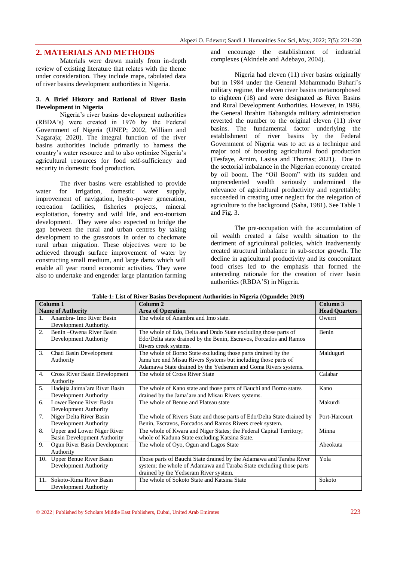# **2. MATERIALS AND METHODS**

Materials were drawn mainly from in-depth review of existing literature that relates with the theme under consideration. They include maps, tabulated data of river basins development authorities in Nigeria.

#### **3. A Brief History and Rational of River Basin Development in Nigeria**

Nigeria"s river basins development authorities (RBDA"s) were created in 1976 by the Federal Government of Nigeria (UNEP; 2002, William and Nagaraja; 2020). The integral function of the river basins authorities include primarily to harness the country"s water resource and to also optimize Nigeria"s agricultural resources for food self-sufficiency and security in domestic food production.

The river basins were established to provide water for irrigation, domestic water supply, improvement of navigation, hydro-power generation, recreation facilities, fisheries projects, mineral exploitation, forestry and wild life, and eco-tourism development. They were also expected to bridge the gap between the rural and urban centres by taking development to the grassroots in order to checkmate rural urban migration. These objectives were to be achieved through surface improvement of water by constructing small medium, and large dams which will enable all year round economic activities. They were also to undertake and engender large plantation farming

and encourage the establishment of industrial complexes (Akindele and Adebayo, 2004).

Nigeria had eleven (11) river basins originally but in 1984 under the General Mohammadu Buhari's military regime, the eleven river basins metamorphosed to eighteen (18) and were designated as River Basins and Rural Development Authorities. However, in 1986, the General Ibrahim Babangida military administration reverted the number to the original eleven (11) river basins. The fundamental factor underlying the establishment of river basins by the Federal Government of Nigeria was to act as a technique and major tool of boosting agricultural food production (Tesfaye, Arnim, Lasisa and Thomas; 2021). Due to the sectorial imbalance in the Nigerian economy created by oil boom. The "Oil Boom" with its sudden and unprecedented wealth seriously undermined the relevance of agricultural productivity and regrettably; succeeded in creating utter neglect for the relegation of agriculture to the background (Saha, 1981). See Table 1 and Fig. 3.

The pre-occupation with the accumulation of oil wealth created a false wealth situation to the detriment of agricultural policies, which inadvertently created structural imbalance in sub-sector growth. The decline in agricultural productivity and its concomitant food crises led to the emphasis that formed the anteceding rationale for the creation of river basin authorities (RBDA"S) in Nigeria.

| Column 1                 |                                    | Column <sub>2</sub>                                                     | Column <sub>3</sub>  |
|--------------------------|------------------------------------|-------------------------------------------------------------------------|----------------------|
| <b>Name of Authority</b> |                                    | <b>Area of Operation</b>                                                | <b>Head Quarters</b> |
| 1.                       | Anambra- Imo River Basin           | The whole of Anambra and Imo state.                                     | Owerri               |
|                          | Development Authority.             |                                                                         |                      |
| 2.                       | Benin - Owena River Basin          | The whole of Edo, Delta and Ondo State excluding those parts of         | Benin                |
|                          | Development Authority              | Edo/Delta state drained by the Benin, Escravos, Forcados and Ramos      |                      |
|                          |                                    | Rivers creek systems.                                                   |                      |
| 3.                       | Chad Basin Development             | The whole of Borno State excluding those parts drained by the           | Maiduguri            |
|                          | Authority                          | Jama'are and Misau Rivers Systems but including those parts of          |                      |
|                          |                                    | Adamawa State drained by the Yedseram and Goma Rivers systems.          |                      |
| 4.                       | Cross River Basin Development      | The whole of Cross River State                                          | Calabar              |
|                          | Authority                          |                                                                         |                      |
| 5 <sub>1</sub>           | Hadejia Jaima'are River Basin      | The whole of Kano state and those parts of Bauchi and Borno states      | Kano                 |
|                          | Development Authority              | drained by the Jama'are and Misau Rivers systems.                       |                      |
| 6.                       | Lower Benue River Basin            | The whole of Benue and Plateau state                                    | Makurdi              |
|                          | Development Authority              |                                                                         |                      |
| 7.                       | Niger Delta River Basin            | The whole of Rivers State and those parts of Edo/Delta State drained by | Port-Harcourt        |
|                          | Development Authority              | Benin, Escravos, Forcados and Ramos Rivers creek system.                |                      |
| 8.                       | Upper and Lower Niger River        | The whole of Kwara and Niger States; the Federal Capital Territory;     | Minna                |
|                          | <b>Basin Development Authority</b> | whole of Kaduna State excluding Katsina State.                          |                      |
| 9.                       | Ogun River Basin Development       | The whole of Oyo, Ogun and Lagos State                                  | Abeokuta             |
|                          | Authority                          |                                                                         |                      |
| 10.                      | <b>Upper Benue River Basin</b>     | Those parts of Bauchi State drained by the Adamawa and Taraba River     | Yola                 |
|                          | Development Authority              | system; the whole of Adamawa and Taraba State excluding those parts     |                      |
|                          |                                    | drained by the Yedseram River system.                                   |                      |
| 11.                      | Sokoto-Rima River Basin            | The whole of Sokoto State and Katsina State                             | Sokoto               |
|                          | Development Authority              |                                                                         |                      |

**Table-1: List of River Basins Development Authorities in Nigeria (Ogundele; 2019)**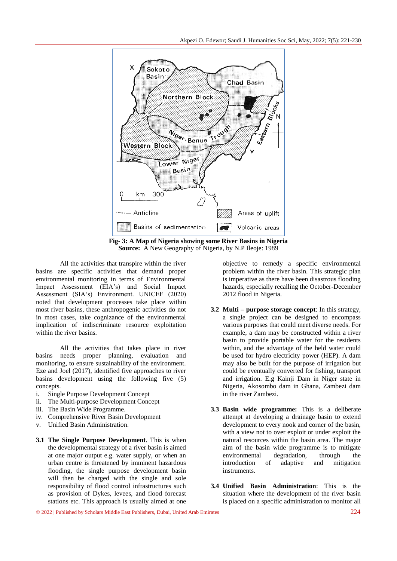

**Fig- 3: A Map of Nigeria showing some River Basins in Nigeria Source:** A New Geography of Nigeria, by N.P Ileoje: 1989

All the activities that transpire within the river basins are specific activities that demand proper environmental monitoring in terms of Environmental Impact Assessment (EIA"s) and Social Impact Assessment (SIA"s) Environment. UNICEF (2020) noted that development processes take place within most river basins, these anthropogenic activities do not in most cases, take cognizance of the environmental implication of indiscriminate resource exploitation within the river basins.

All the activities that takes place in river basins needs proper planning, evaluation and monitoring, to ensure sustainability of the environment. Eze and Joel (2017), identified five approaches to river basins development using the following five (5) concepts.

- i. Single Purpose Development Concept
- ii. The Multi-purpose Development Concept
- iii. The Basin Wide Programme.
- iv. Comprehensive River Basin Development
- v. Unified Basin Administration.
- **3.1 The Single Purpose Development**. This is when the developmental strategy of a river basin is aimed at one major output e.g. water supply, or when an urban centre is threatened by imminent hazardous flooding, the single purpose development basin will then be charged with the single and sole responsibility of flood control infrastructures such as provision of Dykes, levees, and flood forecast stations etc. This approach is usually aimed at one

objective to remedy a specific environmental problem within the river basin. This strategic plan is imperative as there have been disastrous flooding hazards, especially recalling the October-December 2012 flood in Nigeria.

- **3.2 Multi – purpose storage concept**: In this strategy, a single project can be designed to encompass various purposes that could meet diverse needs. For example, a dam may be constructed within a river basin to provide portable water for the residents within, and the advantage of the held water could be used for hydro electricity power (HEP). A dam may also be built for the purpose of irrigation but could be eventually converted for fishing, transport and irrigation. E.g Kainji Dam in Niger state in Nigeria, Akosombo dam in Ghana, Zambezi dam in the river Zambezi.
- **3.3 Basin wide programme:** This is a deliberate attempt at developing a drainage basin to extend development to every nook and corner of the basin, with a view not to over exploit or under exploit the natural resources within the basin area. The major aim of the basin wide programme is to mitigate environmental degradation, through the introduction of adaptive and mitigation instruments.
- **3.4 Unified Basin Administration**: This is the situation where the development of the river basin is placed on a specific administration to monitor all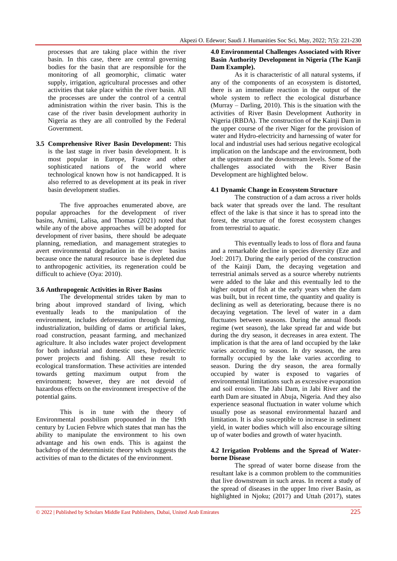processes that are taking place within the river basin. In this case, there are central governing bodies for the basin that are responsible for the monitoring of all geomorphic, climatic water supply, irrigation, agricultural processes and other activities that take place within the river basin. All the processes are under the control of a central administration within the river basin. This is the case of the river basin development authority in Nigeria as they are all controlled by the Federal Government.

**3.5 Comprehensive River Basin Development:** This is the last stage in river basin development. It is most popular in Europe, France and other sophisticated nations of the world where technological known how is not handicapped. It is also referred to as development at its peak in river basin development studies.

The five approaches enumerated above, are popular approaches for the development of river basins, Arnimi, Lalisa, and Thomas (2021) noted that while any of the above approaches will be adopted for development of river basins, there should be adequate planning, remediation, and management strategies to avert environmental degradation in the river basins because once the natural resource base is depleted due to anthropogenic activities, its regeneration could be difficult to achieve (Oya: 2010).

#### **3.6 Anthropogenic Activities in River Basins**

The developmental strides taken by man to bring about improved standard of living, which eventually leads to the manipulation of the environment, includes deforestation through farming, industrialization, building of dams or artificial lakes, road construction, peasant farming, and mechanized agriculture. It also includes water project development for both industrial and domestic uses, hydroelectric power projects and fishing. All these result to ecological transformation. These activities are intended towards getting maximum output from the environment; however, they are not devoid of hazardous effects on the environment irrespective of the potential gains.

This is in tune with the theory of Environmental possbilism propounded in the 19th century by Lucien Febvre which states that man has the ability to manipulate the environment to his own advantage and his own ends. This is against the backdrop of the deterministic theory which suggests the activities of man to the dictates of the environment.

#### **4.0 Environmental Challenges Associated with River Basin Authority Development in Nigeria (The Kanji Dam Example).**

As it is characteristic of all natural systems, if any of the components of an ecosystem is distorted, there is an immediate reaction in the output of the whole system to reflect the ecological disturbance (Murray – Darling, 2010). This is the situation with the activities of River Basin Development Authority in Nigeria (RBDA). The construction of the Kainji Dam in the upper course of the river Niger for the provision of water and Hydro-electricity and harnessing of water for local and industrial uses had serious negative ecological implication on the landscape and the environment, both at the upstream and the downstream levels. Some of the challenges associated with the River Basin Development are highlighted below.

#### **4.1 Dynamic Change in Ecosystem Structure**

The construction of a dam across a river holds back water that spreads over the land. The resultant effect of the lake is that since it has to spread into the forest, the structure of the forest ecosystem changes from terrestrial to aquatic.

This eventually leads to loss of flora and fauna and a remarkable decline in species diversity (Eze and Joel: 2017). During the early period of the construction of the Kainji Dam, the decaying vegetation and terrestrial animals served as a source whereby nutrients were added to the lake and this eventually led to the higher output of fish at the early years when the dam was built, but in recent time, the quantity and quality is declining as well as deteriorating, because there is no decaying vegetation. The level of water in a dam fluctuates between seasons. During the annual floods regime (wet season), the lake spread far and wide but during the dry season, it decreases in area extent. The implication is that the area of land occupied by the lake varies according to season. In dry season, the area formally occupied by the lake varies according to season. During the dry season, the area formally occupied by water is exposed to vagaries of environmental limitations such as excessive evaporation and soil erosion. The Jabi Dam, in Jabi River and the earth Dam are situated in Abuja, Nigeria. And they also experience seasonal fluctuation in water volume which usually pose as seasonal environmental hazard and limitation. It is also susceptible to increase in sediment yield, in water bodies which will also encourage silting up of water bodies and growth of water hyacinth.

#### **4.2 Irrigation Problems and the Spread of Waterborne Disease**

The spread of water borne disease from the resultant lake is a common problem to the communities that live downstream in such areas. In recent a study of the spread of diseases in the upper Imo river Basin, as highlighted in Njoku; (2017) and Uttah (2017), states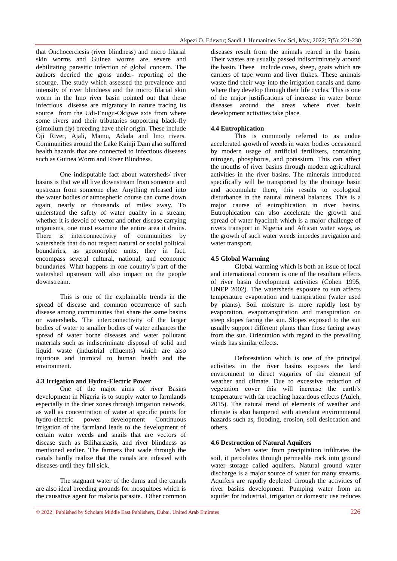that Onchocercicsis (river blindness) and micro filarial skin worms and Guinea worms are severe and debilitating parasitic infection of global concern. The authors decried the gross under- reporting of the scourge. The study which assessed the prevalence and intensity of river blindness and the micro filarial skin worm in the Imo river basin pointed out that these infectious disease are migratory in nature tracing its source from the Udi-Enugu-Okigwe axis from where some rivers and their tributaries supporting black-fly (simolium fly) breeding have their origin. These include Oji River, Ajali, Mamu, Adada and Imo rivers. Communities around the Lake Kainji Dam also suffered health hazards that are connected to infectious diseases such as Guinea Worm and River Blindness.

One indisputable fact about watersheds/ river basins is that we all live downstream from someone and upstream from someone else. Anything released into the water bodies or atmospheric course can come down again, nearly or thousands of miles away. To understand the safety of water quality in a stream, whether it is devoid of vector and other disease carrying organisms, one must examine the entire area it drains. There is interconnectivity of communities by watersheds that do not respect natural or social political boundaries, as geomorphic units, they in fact, encompass several cultural, national, and economic boundaries. What happens in one country"s part of the watershed upstream will also impact on the people downstream.

This is one of the explainable trends in the spread of disease and common occurrence of such disease among communities that share the same basins or watersheds. The interconnectivity of the larger bodies of water to smaller bodies of water enhances the spread of water borne diseases and water pollutant materials such as indiscriminate disposal of solid and liquid waste (industrial effluents) which are also injurious and inimical to human health and the environment.

## **4.3 Irrigation and Hydro-Electric Power**

One of the major aims of river Basins development in Nigeria is to supply water to farmlands especially in the drier zones through irrigation network, as well as concentration of water at specific points for hydro-electric power development Continuous irrigation of the farmland leads to the development of certain water weeds and snails that are vectors of disease such as Biliharziasis, and river blindness as mentioned earlier. The farmers that wade through the canals hardly realize that the canals are infested with diseases until they fall sick.

The stagnant water of the dams and the canals are also ideal breeding grounds for mosquitoes which is the causative agent for malaria parasite. Other common diseases result from the animals reared in the basin. Their wastes are usually passed indiscriminately around the basin. These include cows, sheep, goats which are carriers of tape worm and liver flukes. These animals waste find their way into the irrigation canals and dams where they develop through their life cycles. This is one of the major justifications of increase in water borne diseases around the areas where river basin development activities take place.

#### **4.4 Eutrophication**

This is commonly referred to as undue accelerated growth of weeds in water bodies occasioned by modern usage of artificial fertilizers, containing nitrogen, phosphorus, and potassium. This can affect the mouths of river basins through modern agricultural activities in the river basins. The minerals introduced specifically will be transported by the drainage basin and accumulate there, this results to ecological disturbance in the natural mineral balances. This is a major caurse of eutrophication in river basins. Eutrophication can also accelerate the growth and spread of water hyacinth which is a major challenge of rivers transport in Nigeria and African water ways, as the growth of such water weeds impedes navigation and water transport.

## **4.5 Global Warming**

Global warming which is both an issue of local and international concern is one of the resultant effects of river basin development activities (Cohen 1995, UNEP 2002). The watersheds exposure to sun affects temperature evaporation and transpiration (water used by plants). Soil moisture is more rapidly lost by evaporation, evapotranspiration and transpiration on steep slopes facing the sun. Slopes exposed to the sun usually support different plants than those facing away from the sun. Orientation with regard to the prevailing winds has similar effects.

Deforestation which is one of the principal activities in the river basins exposes the land environment to direct vagaries of the element of weather and climate. Due to excessive reduction of vegetation cover this will increase the earth"s temperature with far reaching hazardous effects (Auleh, 2015). The natural trend of elements of weather and climate is also hampered with attendant environmental hazards such as, flooding, erosion, soil desiccation and others.

## **4.6 Destruction of Natural Aquifers**

When water from precipitation infiltrates the soil, it percolates through permeable rock into ground water storage called aquifers. Natural ground water discharge is a major source of water for many streams. Aquifers are rapidly depleted through the activities of river basins development. Pumping water from an aquifer for industrial, irrigation or domestic use reduces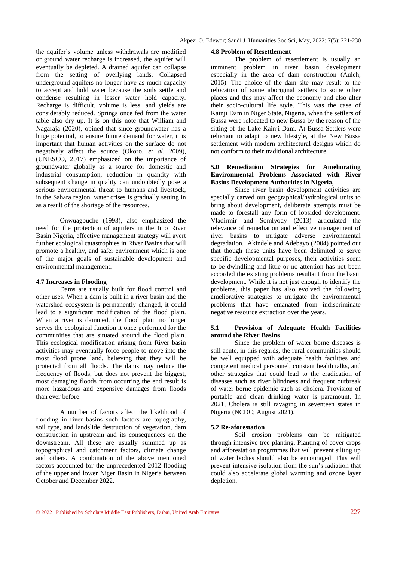the aquifer"s volume unless withdrawals are modified or ground water recharge is increased, the aquifer will eventually be depleted. A drained aquifer can collapse from the setting of overlying lands. Collapsed underground aquifers no longer have as much capacity to accept and hold water because the soils settle and condense resulting in lesser water hold capacity. Recharge is difficult, volume is less, and yields are considerably reduced. Springs once fed from the water table also dry up. It is on this note that William and Nagaraja (2020), opined that since groundwater has a huge potential, to ensure future demand for water, it is important that human activities on the surface do not negatively affect the source (Okoro, *et al*, 2009), (UNESCO, 2017) emphasized on the importance of groundwater globally as a source for domestic and industrial consumption, reduction in quantity with subsequent change in quality can undoubtedly pose a serious environmental threat to humans and livestock, in the Sahara region, water crises is gradually setting in as a result of the shortage of the resources.

Onwuagbuche (1993), also emphasized the need for the protection of aquifers in the Imo River Basin Nigeria, effective management strategy will avert further ecological catastrophies in River Basins that will promote a healthy, and safer environment which is one of the major goals of sustainable development and environmental management.

#### **4.7 Increases in Flooding**

Dams are usually built for flood control and other uses. When a dam is built in a river basin and the watershed ecosystem is permanently changed, it could lead to a significant modification of the flood plain. When a river is dammed, the flood plain no longer serves the ecological function it once performed for the communities that are situated around the flood plain. This ecological modification arising from River basin activities may eventually force people to move into the most flood prone land, believing that they will be protected from all floods. The dams may reduce the frequency of floods, but does not prevent the biggest, most damaging floods from occurring the end result is more hazardous and expensive damages from floods than ever before.

A number of factors affect the likelihood of flooding in river basins such factors are topography, soil type, and landslide destruction of vegetation, dam construction in upstream and its consequences on the downstream. All these are usually summed up as topographical and catchment factors, climate change and others. A combination of the above mentioned factors accounted for the unprecedented 2012 flooding of the upper and lower Niger Basin in Nigeria between October and December 2022.

#### **4.8 Problem of Resettlement**

The problem of resettlement is usually an imminent problem in river basin development especially in the area of dam construction (Auleh, 2015). The choice of the dam site may result to the relocation of some aboriginal settlers to some other places and this may affect the economy and also alter their socio-cultural life style. This was the case of Kainji Dam in Niger State, Nigeria, when the settlers of Bussa were relocated to new Bussa by the reason of the sitting of the Lake Kainji Dam. At Bussa Settlers were reluctant to adapt to new lifestyle, at the New Bussa settlement with modern architectural designs which do not conform to their traditional architecture.

## **5.0 Remediation Strategies for Ameliorating Environmental Problems Associated with River Basins Development Authorities in Nigeria,**

Since river basin development activities are specially carved out geographical/hydrological units to bring about development, deliberate attempts must be made to forestall any form of lopsided development. Vladirmir and Somlyody (2013) articulated the relevance of remediation and effective management of river basins to mitigate adverse environmental degradation. Akindele and Adebayo (2004) pointed out that though these units have been delimited to serve specific developmental purposes, their activities seem to be dwindling and little or no attention has not been accorded the existing problems resultant from the basin development. While it is not just enough to identify the problems, this paper has also evolved the following ameliorative strategies to mitigate the environmental problems that have emanated from indiscriminate negative resource extraction over the years.

### **5.1 Provision of Adequate Health Facilities around the River Basins**

Since the problem of water borne diseases is still acute, in this regards, the rural communities should be well equipped with adequate health facilities and competent medical personnel, constant health talks, and other strategies that could lead to the eradication of diseases such as river blindness and frequent outbreak of water borne epidemic such as cholera. Provision of portable and clean drinking water is paramount. In 2021, Cholera is still ravaging in seventeen states in Nigeria (NCDC; August 2021).

## **5.2 Re-aforestation**

Soil erosion problems can be mitigated through intensive tree planting. Planting of cover crops and afforestation progrmmes that will prevent silting up of water bodies should also be encouraged. This will prevent intensive isolation from the sun"s radiation that could also accelerate global warming and ozone layer depletion.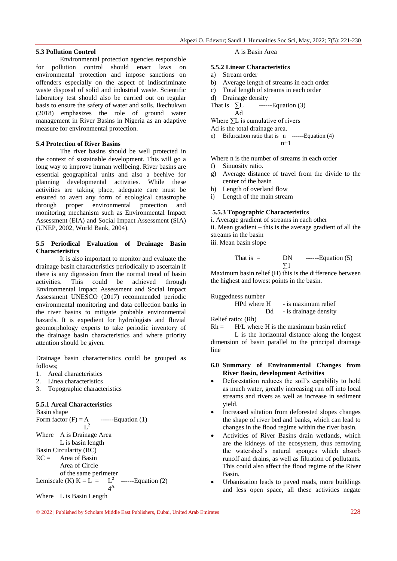#### **5.3 Pollution Control**

Environmental protection agencies responsible for pollution control should enact laws on environmental protection and impose sanctions on offenders especially on the aspect of indiscriminate waste disposal of solid and industrial waste. Scientific laboratory test should also be carried out on regular basis to ensure the safety of water and soils. Ikechukwu (2018) emphasizes the role of ground water management in River Basins in Nigeria as an adaptive measure for environmental protection.

#### **5.4 Protection of River Basins**

The river basins should be well protected in the context of sustainable development. This will go a long way to improve human wellbeing. River basins are essential geographical units and also a beehive for planning developmental activities. While these activities are taking place, adequate care must be ensured to avert any form of ecological catastrophe through proper environmental protection and monitoring mechanism such as Environmental Impact Assessment (EIA) and Social Impact Assessment (SIA) (UNEP, 2002, World Bank, 2004).

#### **5.5 Periodical Evaluation of Drainage Basin Characteristics**

It is also important to monitor and evaluate the drainage basin characteristics periodically to ascertain if there is any digression from the normal trend of basin activities. This could be achieved through Environmental Impact Assessment and Social Impact Assessment UNESCO (2017) recommended periodic environmental monitoring and data collection banks in the river basins to mitigate probable environmental hazards. It is expedient for hydrologists and fluvial geomorphology experts to take periodic inventory of the drainage basin characteristics and where priority attention should be given.

Drainage basin characteristics could be grouped as follows;

- 1. Areal characteristics
- 2. Linea characteristics
- 3. Topographic characteristics

## **5.5.1 Areal Characteristics**

| Basin shape |                                           |             |                                                 |
|-------------|-------------------------------------------|-------------|-------------------------------------------------|
|             | Form factor $(F) = A$ -------Equation (1) |             |                                                 |
|             | $\mathbf{I}^2$                            |             |                                                 |
|             | Where A is Drainage Area                  |             |                                                 |
|             | L is basin length                         |             |                                                 |
|             | Basin Circularity (RC)                    |             |                                                 |
|             | $RC =$ Area of Basin                      |             |                                                 |
|             | Area of Circle                            |             |                                                 |
|             | of the same perimeter                     |             |                                                 |
|             |                                           |             | Lemiscale (K) $K = L = L^2$ -------Equation (2) |
|             |                                           | $4^{\rm A}$ |                                                 |
|             | Where L is Basin Length                   |             |                                                 |

#### A is Basin Area

#### **5.5.2 Linear Characteristics**

- a) Stream order
- b) Average length of streams in each order
- c) Total length of streams in each order
- d) Drainage density
- That is  $\Sigma$  -------Equation (3) Ad

Where ∑L is cumulative of rivers

Ad is the total drainage area.

e) Bifurcation ratio that is 
$$
n
$$
 --- Equation (4)  $n+1$ 

Where n is the number of streams in each order

- f) Sinuosity ratio.
- g) Average distance of travel from the divide to the center of the basin
- h) Length of overland flow

i) Length of the main stream

#### **5.5.3 Topographic Characteristics**

i. Average gradient of streams in each other ii. Mean gradient – this is the average gradient of all the streams in the basin iii. Mean basin slope

That is = 
$$
DN \qquad \text{---Equation (5)}
$$

$$
\sum 1
$$

Maximum basin relief  $(H)$  this is the difference between the highest and lowest points in the basin.

Ruggedness number

 $HPd$  where  $H \rightarrow is$  maximum relief Dd - is drainage density

Relief ratio; (Rh)

 $Rh = H/L$  where H is the maximum basin relief

L is the horizontal distance along the longest dimension of basin parallel to the principal drainage line

#### **6.0 Summary of Environmental Changes from River Basin, development Activities**

- Deforestation reduces the soil"s capability to hold as much water, greatly increasing run off into local streams and rivers as well as increase in sediment yield.
- Increased siltation from deforested slopes changes the shape of river bed and banks, which can lead to changes in the flood regime within the river basin.
- Activities of River Basins drain wetlands, which are the kidneys of the ecosystem, thus removing the watershed"s natural sponges which absorb runoff and drains, as well as filtration of pollutants. This could also affect the flood regime of the River Basin.
- Urbanization leads to paved roads, more buildings and less open space, all these activities negate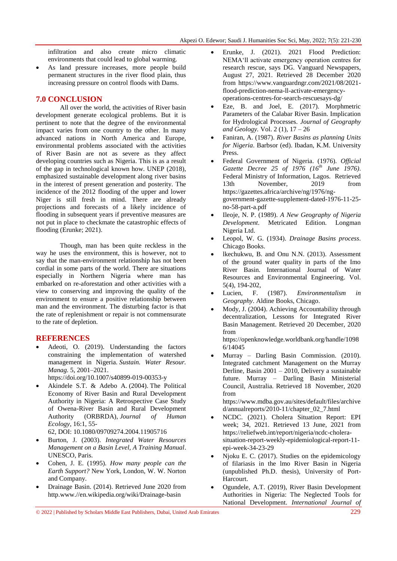infiltration and also create micro climatic environments that could lead to global warming.

 As land pressure increases, more people build permanent structures in the river flood plain, thus increasing pressure on control floods with Dams.

## **7.0 CONCLUSION**

All over the world, the activities of River basin development generate ecological problems. But it is pertinent to note that the degree of the environmental impact varies from one country to the other. In many advanced nations in North America and Europe, environmental problems associated with the activities of River Basin are not as severe as they affect developing countries such as Nigeria. This is as a result of the gap in technological known how. UNEP (2018), emphasized sustainable development along river basins in the interest of present generation and posterity. The incidence of the 2012 flooding of the upper and lower Niger is still fresh in mind. There are already projections and forecasts of a likely incidence of flooding in subsequent years if preventive measures are not put in place to checkmate the catastrophic effects of flooding (Erunke; 2021).

Though, man has been quite reckless in the way he uses the environment, this is however, not to say that the man-environment relationship has not been cordial in some parts of the world. There are situations especially in Northern Nigeria where man has embarked on re-aforestation and other activities with a view to conserving and improving the quality of the environment to ensure a positive relationship between man and the environment. The disturbing factor is that the rate of replenishment or repair is not commensurate to the rate of depletion.

## **REFERENCES**

 Adeoti, O. (2019). Understanding the factors constraining the implementation of watershed management in Nigeria. *Sustain. Water Resour. Manag.* 5, 2001–2021.

https://doi.org/10.1007/s40899-019-00353-y

 Akindele S.T. & Adebo A. (2004). The Political Economy of River Basin and Rural Development Authority in Nigeria: A Retrospective Case Study of Owena-River Basin and Rural Development Authority (ORBRDA), *Journal of Human Ecology*, 16:1, 55-

62, DOI: [10.1080/09709274.2004.11905716](https://doi.org/10.1080/09709274.2004.11905716)

- Burton, J. (2003). *Integrated Water Resources Management on a Basin Level, A Training Manual*. UNESCO, Paris.
- Cohen, J. E. (1995). *How many people can the Earth Support?* New York, London, W. W. Norton and Company.
- Drainage Basin. (2014). Retrieved June 2020 from http.www.//en.wikipedia.org/wiki/Drainage-basin
- Erunke, J. (2021). 2021 Flood Prediction: NEMA"ll activate emergency operation centres for research rescue, says DG. Vanguard Newspapers, August 27, 2021. Retrieved 28 December 2020 from [https://www.vanguardngr.com/2021/08/2021](https://www.vanguardngr.com/2021/08/2021-flood-prediction-nema-ll-activate-emergency-operations-centres-for-search-rescuesays-dg/) [flood-prediction-nema-ll-activate-emergency](https://www.vanguardngr.com/2021/08/2021-flood-prediction-nema-ll-activate-emergency-operations-centres-for-search-rescuesays-dg/)[operations-centres-for-search-rescuesays-dg/](https://www.vanguardngr.com/2021/08/2021-flood-prediction-nema-ll-activate-emergency-operations-centres-for-search-rescuesays-dg/)
- Eze, B. and Joel, E. (2017). Morphmetric Parameters of the Calabar River Basin. Implication for Hydrological Processes. *Journal of Geography and Geology.* Vol. 2 (1), 17 – 26
- Faniran, A. (1987). *River Basins as planning Units for Nigeria*. Barbsor (ed). Ibadan, K.M. University Press.
- Federal Government of Nigeria. (1976). *Official Gazette Decree 25 of 1976 (16th June 1976)*. Federal Ministry of Information, Lagos. Retrieved 13th November, 2019 from [https://gazettes.africa/archive/ng/1976/ng](https://gazettes.africa/archive/ng/1976/ng-government-gazette-supplement-dated-1976-11-25-no-58-part-a.pdf)[government-gazette-supplement-dated-1976-11-25](https://gazettes.africa/archive/ng/1976/ng-government-gazette-supplement-dated-1976-11-25-no-58-part-a.pdf) [no-58-part-a.pdf](https://gazettes.africa/archive/ng/1976/ng-government-gazette-supplement-dated-1976-11-25-no-58-part-a.pdf)
- Ileoje, N. P. (1989). *A New Geography of Nigeria Development*. Metricated Edition. Longman Nigeria Ltd.
- Leopol, W. G. (1934). *Drainage Basins process*. Chicago Books.
- lkechukwu, B. and Onu N.N. (2013). Assessment of the ground water quality in parts of the Imo River Basin. International Journal of Water Resources and Environmental Engineering. Vol. 5(4), 194-202,
- Lucien, F. (1987). *Environmentalism in Geography*. Aldine Books, Chicago.
- Mody, J. (2004). Achieving Accountability through decentralization, Lessons for Integrated River Basin Management. Retrieved 20 December, 2020 from

[https://openknowledge.worldbank.org/handle/1098](https://openknowledge.worldbank.org/handle/10986/14045) [6/14045](https://openknowledge.worldbank.org/handle/10986/14045) 

 Murray – Darling Basin Commission. (2010). Integrated catchment Management on the Murray Derline, Basin 2001 – 2010, Delivery a sustainable future. Murray – Darling Basin Ministerial Council, Australia. Retrieved 18 November, 2020 from

[https://www.mdba.gov.au/sites/default/files/archive](https://www.mdba.gov.au/sites/default/files/archived/annualreports/2010-11/chapter_02_7.html) [d/annualreports/2010-11/chapter\\_02\\_7.html](https://www.mdba.gov.au/sites/default/files/archived/annualreports/2010-11/chapter_02_7.html)

- NCDC. (2021). Cholera Situation Report: EPI week; 34, 2021. Retrieved 13 June, 2021 from [https://reliefweb.int/report/nigeria/ncdc-cholera](https://reliefweb.int/report/nigeria/ncdc-cholera-situation-report-weekly-epidemiological-report-11-epi-week-34-23-29)[situation-report-weekly-epidemiological-report-11](https://reliefweb.int/report/nigeria/ncdc-cholera-situation-report-weekly-epidemiological-report-11-epi-week-34-23-29) [epi-week-34-23-29](https://reliefweb.int/report/nigeria/ncdc-cholera-situation-report-weekly-epidemiological-report-11-epi-week-34-23-29)
- Njoku E. C. (2017). Studies on the epidemicology of filariasis in the lmo River Basin in Nigeria (unpublished Ph.D. thesis), University of Port-Harcourt.
- Ogundele, A.T. (2019), River Basin Development Authorities in Nigeria: The Neglected Tools for National Development. *International Journal of*